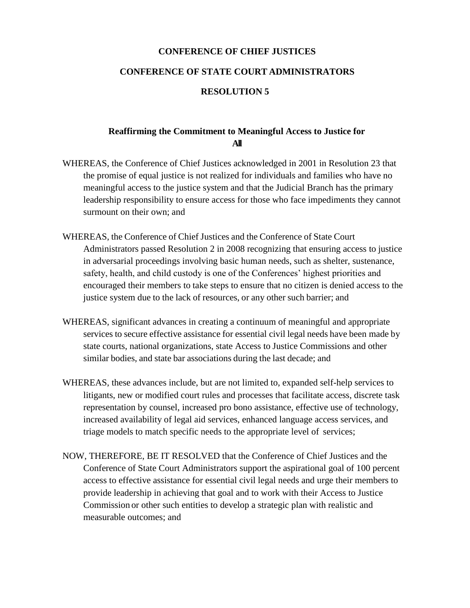## **CONFERENCE OF CHIEF JUSTICES**

## **CONFERENCE OF STATE COURT ADMINISTRATORS**

## **RESOLUTION 5**

## **Reaffirming the Commitment to Meaningful Access to Justice for All**

- WHEREAS, the Conference of Chief Justices acknowledged in 2001 in Resolution 23 that the promise of equal justice is not realized for individuals and families who have no meaningful access to the justice system and that the Judicial Branch has the primary leadership responsibility to ensure access for those who face impediments they cannot surmount on their own; and
- WHEREAS, the Conference of Chief Justices and the Conference of State Court Administrators passed Resolution 2 in 2008 recognizing that ensuring access to justice in adversarial proceedings involving basic human needs, such as shelter, sustenance, safety, health, and child custody is one of the Conferences' highest priorities and encouraged their members to take steps to ensure that no citizen is denied access to the justice system due to the lack of resources, or any other such barrier; and
- WHEREAS, significant advances in creating a continuum of meaningful and appropriate services to secure effective assistance for essential civil legal needs have been made by state courts, national organizations, state Access to Justice Commissions and other similar bodies, and state bar associations during the last decade; and
- WHEREAS, these advances include, but are not limited to, expanded self-help services to litigants, new or modified court rules and processes that facilitate access, discrete task representation by counsel, increased pro bono assistance, effective use of technology, increased availability of legal aid services, enhanced language access services, and triage models to match specific needs to the appropriate level of services;
- NOW, THEREFORE, BE IT RESOLVED that the Conference of Chief Justices and the Conference of State Court Administrators support the aspirational goal of 100 percent access to effective assistance for essential civil legal needs and urge their members to provide leadership in achieving that goal and to work with their Access to Justice Commission or other such entities to develop a strategic plan with realistic and measurable outcomes; and